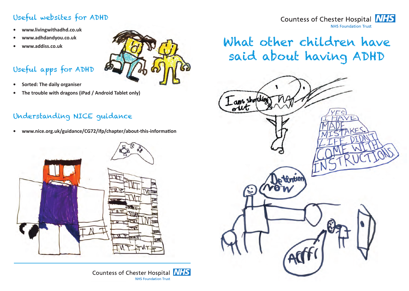## Useful websites for ADHD

- **• www.livingwithadhd.co.uk**
- **• www.adhdandyou.co.uk**
- **• www.addiss.co.uk**

# Useful apps for ADHD



**• The trouble with dragons (iPad / Android Tablet only)**

### Understanding NICE guidance

• www.nice.org.uk/guidance/CG72/ifp/chapter/about-this-information







#### What other children have said about having ADHD **Community Dental Coronary Care Unit Cathedral Ward 42 Abbey Ward 41** dren Anticoagulant Clinic Gaussian ing, Cardiac Rehabilitation G have Orthoptics G DHD